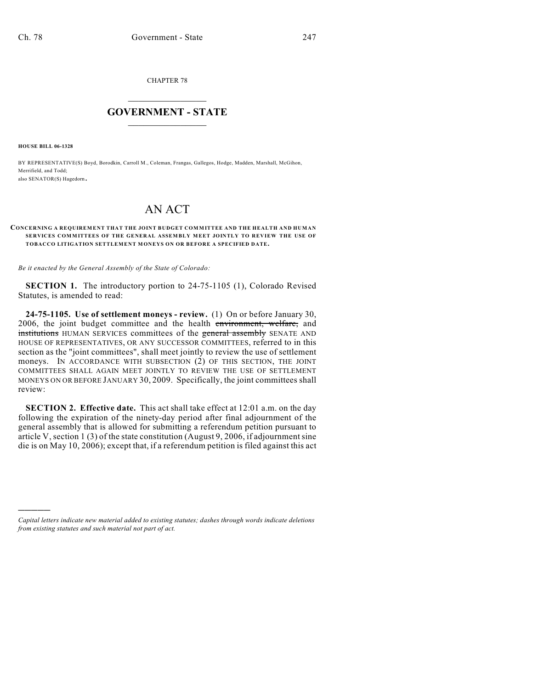CHAPTER 78

## $\mathcal{L}_\text{max}$  . The set of the set of the set of the set of the set of the set of the set of the set of the set of the set of the set of the set of the set of the set of the set of the set of the set of the set of the set **GOVERNMENT - STATE**  $\_$   $\_$

**HOUSE BILL 06-1328**

)))))

BY REPRESENTATIVE(S) Boyd, Borodkin, Carroll M., Coleman, Frangas, Gallegos, Hodge, Madden, Marshall, McGihon, Merrifield, and Todd; also SENATOR(S) Hagedorn.

## AN ACT

## **CONCERNING A REQUIREMENT THAT THE JOINT BUDGET COM MITTEE AND THE HEALTH AND HUMAN SERVICES COMMITTEES OF THE GENERAL ASSEMBLY MEET JOINTLY TO REVIEW THE USE OF TOBACCO LITIGATION SETTLEMENT MONEYS ON OR BEFORE A SPECIFIED DATE.**

*Be it enacted by the General Assembly of the State of Colorado:*

**SECTION 1.** The introductory portion to 24-75-1105 (1), Colorado Revised Statutes, is amended to read:

**24-75-1105. Use of settlement moneys - review.** (1) On or before January 30, 2006, the joint budget committee and the health environment, welfare, and institutions HUMAN SERVICES committees of the general assembly SENATE AND HOUSE OF REPRESENTATIVES, OR ANY SUCCESSOR COMMITTEES, referred to in this section as the "joint committees", shall meet jointly to review the use of settlement moneys. IN ACCORDANCE WITH SUBSECTION (2) OF THIS SECTION, THE JOINT COMMITTEES SHALL AGAIN MEET JOINTLY TO REVIEW THE USE OF SETTLEMENT MONEYS ON OR BEFORE JANUARY 30, 2009. Specifically, the joint committees shall review:

**SECTION 2. Effective date.** This act shall take effect at 12:01 a.m. on the day following the expiration of the ninety-day period after final adjournment of the general assembly that is allowed for submitting a referendum petition pursuant to article V, section 1 (3) of the state constitution (August 9, 2006, if adjournment sine die is on May 10, 2006); except that, if a referendum petition is filed against this act

*Capital letters indicate new material added to existing statutes; dashes through words indicate deletions from existing statutes and such material not part of act.*